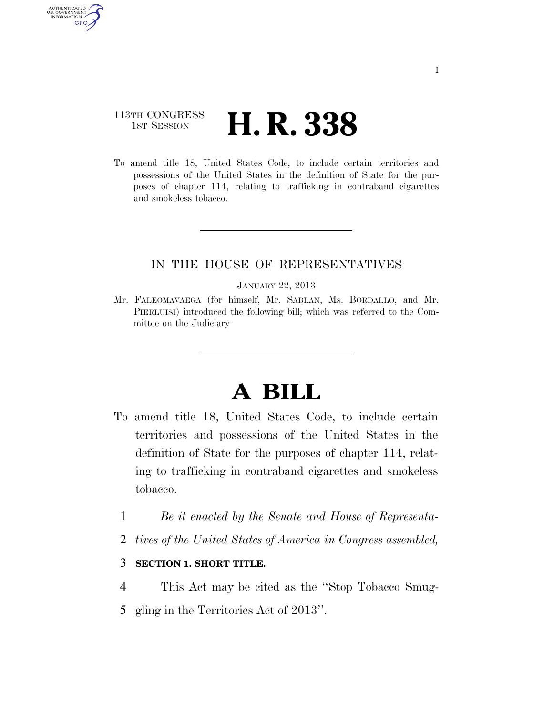# 113TH CONGRESS **1st Session H. R. 338**

AUTHENTICATED U.S. GOVERNMENT **GPO** 

> To amend title 18, United States Code, to include certain territories and possessions of the United States in the definition of State for the purposes of chapter 114, relating to trafficking in contraband cigarettes and smokeless tobacco.

## IN THE HOUSE OF REPRESENTATIVES

#### JANUARY 22, 2013

Mr. FALEOMAVAEGA (for himself, Mr. SABLAN, Ms. BORDALLO, and Mr. PIERLUISI) introduced the following bill; which was referred to the Committee on the Judiciary

# **A BILL**

- To amend title 18, United States Code, to include certain territories and possessions of the United States in the definition of State for the purposes of chapter 114, relating to trafficking in contraband cigarettes and smokeless tobacco.
	- 1 *Be it enacted by the Senate and House of Representa-*
	- 2 *tives of the United States of America in Congress assembled,*

### 3 **SECTION 1. SHORT TITLE.**

- 4 This Act may be cited as the ''Stop Tobacco Smug-
- 5 gling in the Territories Act of 2013''.